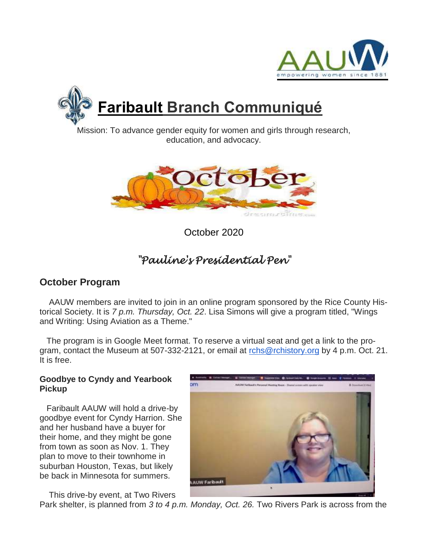



Mission: To advance gender equity for women and girls through research, education, and advocacy.



October 2020

## *"Pauline's Presidential Pen"*

## **October Program**

AAUW members are invited to join in an online program sponsored by the Rice County Historical Society. It is *7 p.m. Thursday, Oct. 22*. Lisa Simons will give a program titled, "Wings and Writing: Using Aviation as a Theme."

The program is in Google Meet format. To reserve a virtual seat and get a link to the program, contact the Museum at 507-332-2121, or email at [rchs@rchistory.org](mailto:rchs@rchistory.org) by 4 p.m. Oct. 21. It is free.

### **Goodbye to Cyndy and Yearbook Pickup**

Faribault AAUW will hold a drive-by goodbye event for Cyndy Harrion. She and her husband have a buyer for their home, and they might be gone from town as soon as Nov. 1. They plan to move to their townhome in suburban Houston, Texas, but likely be back in Minnesota for summers.

This drive-by event, at Two Rivers



Park shelter, is planned from *3 to 4 p.m. Monday, Oct. 26.* Two Rivers Park is across from the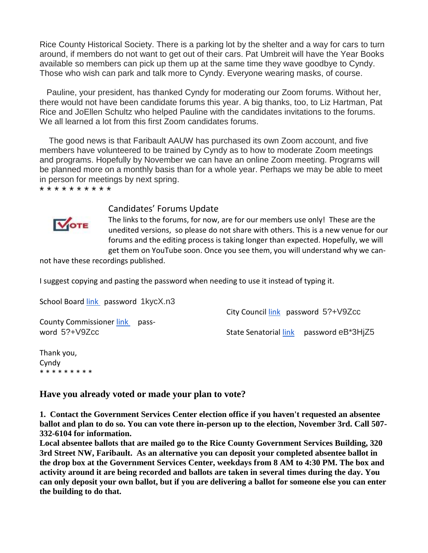Rice County Historical Society. There is a parking lot by the shelter and a way for cars to turn around, if members do not want to get out of their cars. Pat Umbreit will have the Year Books available so members can pick up them up at the same time they wave goodbye to Cyndy. Those who wish can park and talk more to Cyndy. Everyone wearing masks, of course.

 Pauline, your president, has thanked Cyndy for moderating our Zoom forums. Without her, there would not have been candidate forums this year. A big thanks, too, to Liz Hartman, Pat Rice and JoEllen Schultz who helped Pauline with the candidates invitations to the forums. We all learned a lot from this first Zoom candidates forums.

The good news is that Faribault AAUW has purchased its own Zoom account, and five members have volunteered to be trained by Cyndy as to how to moderate Zoom meetings and programs. Hopefully by November we can have an online Zoom meeting. Programs will be planned more on a monthly basis than for a whole year. Perhaps we may be able to meet in person for meetings by next spring.

\* \* \* \* \* \* \* \* \* \*



#### Candidates' Forums Update

The links to the forums, for now, are for our members use only! These are the unedited versions, so please do not share with others. This is a new venue for our forums and the editing process is taking longer than expected. Hopefully, we will get them on YouTube soon. Once you see them, you will understand why we can-

not have these recordings published.

I suggest copying and pasting the password when needing to use it instead of typing it.

School Board [link](https://us02web.zoom.us/rec/share/ZQ5ZX9a4k_4B-2m8HqYYQXCcAQH5CFjOP6m0pxHdSHtIBWxB5T6pAAtelWbfe3Bs.i-fAIFAazUMpE09I) password 1kycX.n3

County Commissioner [link](https://us02web.zoom.us/rec/share/S8bCTjteOENdw-BbQNMIQRYedF2yGN9vzZyEgXPGyJGHC65mUBtmPMDol1FVgPTU.sqsYWrBgd90nx7Dh?startTime=1601508021000) password 5?+V9Zcc

City Council [link](https://us02web.zoom.us/rec/share/S8bCTjteOENdw-BbQNMIQRYedF2yGN9vzZyEgXPGyJGHC65mUBtmPMDol1FVgPTU.sqsYWrBgd90nx7Dh?startTime=1601510421000) password 5?+V9Zcc

State Senatorial [link](https://us02web.zoom.us/rec/share/qBjzqn473Q4QTYU-EY_TF2CM1Ae0VWB6v8sjAPv3zTiHaAp0eq_hh54CdCvcHFDq.G-VDcuaE1LKYb1_g) password eB\*3HjZ5

Thank you, Cyndy \* \* \* \* \* \* \* \* \*

**Have you already voted or made your plan to vote?**

**1. Contact the Government Services Center election office if you haven't requested an absentee ballot and plan to do so. You can vote there in-person up to the election, November 3rd. Call 507- 332-6104 for information.**

**Local absentee ballots that are mailed go to the Rice County Government Services Building, 320 3rd Street NW, Faribault. As an alternative you can deposit your completed absentee ballot in the drop box at the Government Services Center, weekdays from 8 AM to 4:30 PM. The box and activity around it are being recorded and ballots are taken in several times during the day. You can only deposit your own ballot, but if you are delivering a ballot for someone else you can enter the building to do that.**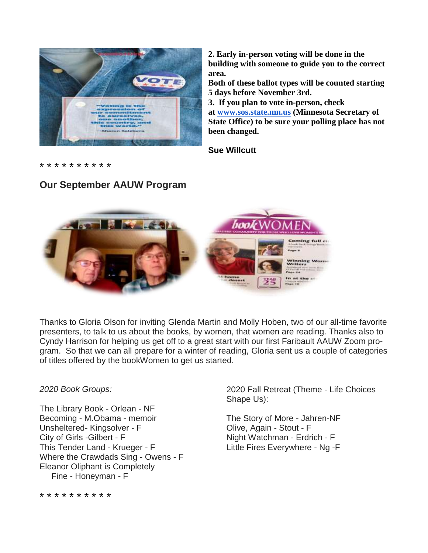

**Our September AAUW Program**

**2. Early in-person voting will be done in the building with someone to guide you to the correct area.**

**Both of these ballot types will be counted starting 5 days before November 3rd.**

**3. If you plan to vote in-person, check at [www.sos.state.mn.us](http://www.sos.state.mn.us/) (Minnesota Secretary of State Office) to be sure your polling place has not been changed.**

**Sue Willcutt**

\* \* \* \* \* \* \* \* \* \*

# Coming full ci **Inning Wom**

Thanks to Gloria Olson for inviting Glenda Martin and Molly Hoben, two of our all-time favorite presenters, to talk to us about the books, by women, that women are reading. Thanks also to Cyndy Harrison for helping us get off to a great start with our first Faribault AAUW Zoom program. So that we can all prepare for a winter of reading, Gloria sent us a couple of categories of titles offered by the bookWomen to get us started.

### *2020 Book Groups:*

The Library Book - Orlean - NF Becoming - M.Obama - memoir Unsheltered- Kingsolver - F City of Girls -Gilbert - F This Tender Land - Krueger - F Where the Crawdads Sing - Owens - F Eleanor Oliphant is Completely Fine - Honeyman - F

2020 Fall Retreat (Theme - Life Choices Shape Us):

The Story of More - Jahren-NF Olive, Again - Stout - F Night Watchman - Erdrich - F Little Fires Everywhere - Ng -F

\* \* \* \* \* \* \* \* \* \*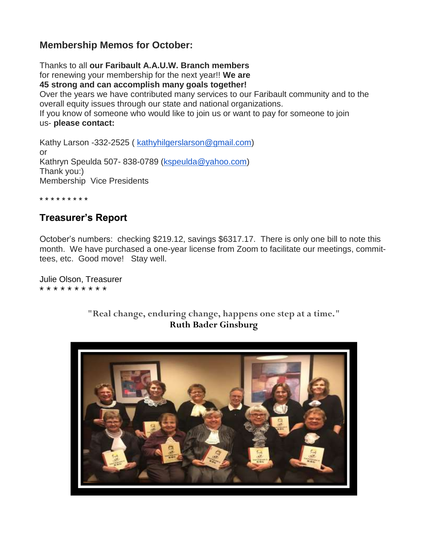## **Membership Memos for October:**

Thanks to all **our Faribault A.A.U.W. Branch members** for renewing your membership for the next year!! **We are 45 strong and can accomplish many goals together!** Over the years we have contributed many services to our Faribault community and to the overall equity issues through our state and national organizations. If you know of someone who would like to join us or want to pay for someone to join us- **please contact:**

Kathy Larson -332-2525 ( [kathyhilgerslarson@gmail.com\)](mailto:kathyhilgerslarson@gmail.com) or Kathryn Speulda 507- 838-0789 [\(kspeulda@yahoo.com\)](mailto:kspeulda@yahoo.com) Thank you:) Membership Vice Presidents

\* \* \* \* \* \* \* \* \*

### **Treasurer's Report**

October's numbers: checking \$219.12, savings \$6317.17. There is only one bill to note this month. We have purchased a one-year license from Zoom to facilitate our meetings, committees, etc. Good move! Stay well.

Julie Olson, Treasurer \* \* \* \* \* \* \* \* \* \*